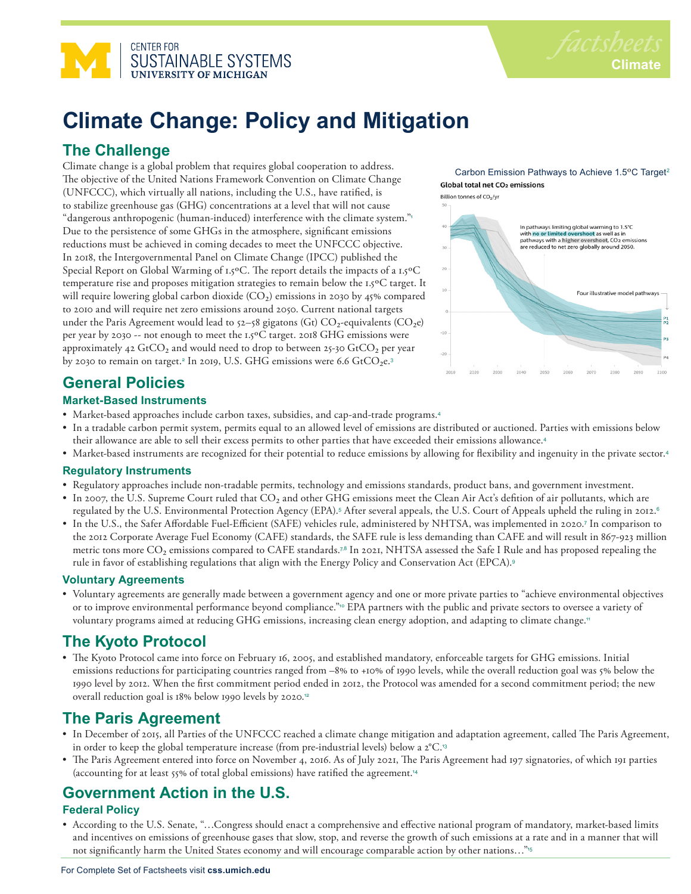

# **Climate Change: Policy and Mitigation**

# **The Challenge**

Climate change is a global problem that requires global cooperation to address. The objective of the United Nations Framework Convention on Climate Change (UNFCCC), which virtually all nations, including the U.S., have ratified, is to stabilize greenhouse gas (GHG) concentrations at a level that will not cause "dangerous anthropogenic (human-induced) interference with the climate system."<sup>1</sup> Due to the persistence of some GHGs in the atmosphere, significant emissions reductions must be achieved in coming decades to meet the UNFCCC objective. In 2018, the Intergovernmental Panel on Climate Change (IPCC) published the Special Report on Global Warming of  $1.5^{\circ}$ C. The report details the impacts of a  $1.5^{\circ}$ C temperature rise and proposes mitigation strategies to remain below the 1.5oC target. It will require lowering global carbon dioxide  $(CO<sub>2</sub>)$  emissions in 2030 by 45% compared to 2010 and will require net zero emissions around 2050. Current national targets under the Paris Agreement would lead to 52-58 gigatons (Gt)  $CO_2$ -equivalents ( $CO_2$ e) per year by 2030 -- not enough to meet the 1.5°C target. 2018 GHG emissions were approximately 42  $GtCO<sub>2</sub>$  and would need to drop to between 25-30  $GtCO<sub>2</sub>$  per year by 2030 to remain on target.<sup>2</sup> In 2019, U.S. GHG emissions were 6.6 GtCO<sub>2</sub>e.<sup>3</sup>



**Climate**

Billion tonnes of CO<sub>2</sub>/vi



# **General Policies**

### **Market-Based Instruments**

- Market-based approaches include carbon taxes, subsidies, and cap-and-trade programs.<sup>4</sup>
- In a tradable carbon permit system, permits equal to an allowed level of emissions are distributed or auctioned. Parties with emissions below their allowance are able to sell their excess permits to other parties that have exceeded their emissions allowance.<sup>4</sup>
- Market-based instruments are recognized for their potential to reduce emissions by allowing for flexibility and ingenuity in the private sector.<sup>4</sup>

### **Regulatory Instruments**

- Regulatory approaches include non-tradable permits, technology and emissions standards, product bans, and government investment.
- In 2007, the U.S. Supreme Court ruled that CO<sub>2</sub> and other GHG emissions meet the Clean Air Act's defition of air pollutants, which are regulated by the U.S. Environmental Protection Agency (EPA).5 After several appeals, the U.S. Court of Appeals upheld the ruling in 2012.6
- In the U.S., the Safer Affordable Fuel-Efficient (SAFE) vehicles rule, administered by NHTSA, was implemented in 2020.<sup>7</sup> In comparison to the 2012 Corporate Average Fuel Economy (CAFE) standards, the SAFE rule is less demanding than CAFE and will result in 867-923 million metric tons more CO<sub>2</sub> emissions compared to CAFE standards.<sup>7,8</sup> In 2021, NHTSA assessed the Safe I Rule and has proposed repealing the rule in favor of establishing regulations that align with the Energy Policy and Conservation Act (EPCA).<sup>9</sup>

### **Voluntary Agreements**

• Voluntary agreements are generally made between a government agency and one or more private parties to "achieve environmental objectives or to improve environmental performance beyond compliance."<sup>10</sup> EPA partners with the public and private sectors to oversee a variety of voluntary programs aimed at reducing GHG emissions, increasing clean energy adoption, and adapting to climate change.<sup>11</sup>

# **The Kyoto Protocol**

• The Kyoto Protocol came into force on February 16, 2005, and established mandatory, enforceable targets for GHG emissions. Initial emissions reductions for participating countries ranged from –8% to +10% of 1990 levels, while the overall reduction goal was 5% below the 1990 level by 2012. When the first commitment period ended in 2012, the Protocol was amended for a second commitment period; the new overall reduction goal is 18% below 1990 levels by 2020.<sup>12</sup>

# **The Paris Agreement**

- In December of 2015, all Parties of the UNFCCC reached a climate change mitigation and adaptation agreement, called The Paris Agreement, in order to keep the global temperature increase (from pre-industrial levels) below a  $2^{\circ}C^{3}$
- The Paris Agreement entered into force on November 4, 2016. As of July 2021, The Paris Agreement had 197 signatories, of which 191 parties (accounting for at least 55% of total global emissions) have ratified the agreement.<sup>14</sup>

# **Government Action in the U.S.**

### **Federal Policy**

• According to the U.S. Senate, "…Congress should enact a comprehensive and effective national program of mandatory, market-based limits and incentives on emissions of greenhouse gases that slow, stop, and reverse the growth of such emissions at a rate and in a manner that will not significantly harm the United States economy and will encourage comparable action by other nations…"<sup>15</sup>